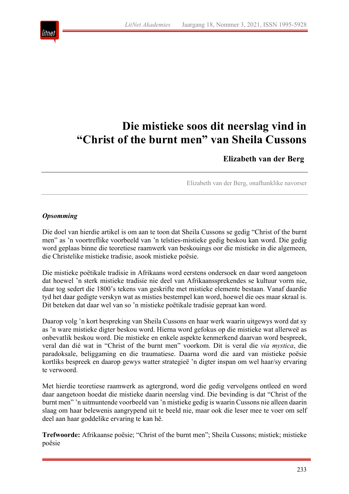

# **Die mistieke soos dit neerslag vind in "Christ of the burnt men" van Sheila Cussons**

**Elizabeth van der Berg**

Elizabeth van der Berg, onafhanklike navorser

## *Opsomming*

Die doel van hierdie artikel is om aan te toon dat Sheila Cussons se gedig "Christ of the burnt men" as 'n voortreflike voorbeeld van 'n teïsties-mistieke gedig beskou kan word. Die gedig word geplaas binne die teoretiese raamwerk van beskouings oor die mistieke in die algemeen, die Christelike mistieke tradisie, asook mistieke poësie.

Die mistieke poëtikale tradisie in Afrikaans word eerstens ondersoek en daar word aangetoon dat hoewel 'n sterk mistieke tradisie nie deel van Afrikaanssprekendes se kultuur vorm nie, daar tog sedert die 1800's tekens van geskrifte met mistieke elemente bestaan. Vanaf daardie tyd het daar gedigte verskyn wat as misties bestempel kan word, hoewel die oes maar skraal is. Dit beteken dat daar wel van so 'n mistieke poëtikale tradisie gepraat kan word.

Daarop volg 'n kort bespreking van Sheila Cussons en haar werk waarin uitgewys word dat sy as 'n ware mistieke digter beskou word. Hierna word gefokus op die mistieke wat allerweë as onbevatlik beskou word. Die mistieke en enkele aspekte kenmerkend daarvan word bespreek, veral dan dié wat in "Christ of the burnt men" voorkom. Dit is veral die *via mystica*, die paradoksale, beliggaming en die traumatiese. Daarna word die aard van mistieke poësie kortliks bespreek en daarop gewys watter strategieë 'n digter inspan om wel haar/sy ervaring te verwoord.

Met hierdie teoretiese raamwerk as agtergrond, word die gedig vervolgens ontleed en word daar aangetoon hoedat die mistieke daarin neerslag vind. Die bevinding is dat "Christ of the burnt men" 'n uitmuntende voorbeeld van 'n mistieke gedig is waarin Cussons nie alleen daarin slaag om haar belewenis aangrypend uit te beeld nie, maar ook die leser mee te voer om self deel aan haar goddelike ervaring te kan hê.

**Trefwoorde:** Afrikaanse poësie; "Christ of the burnt men"; Sheila Cussons; mistiek; mistieke poësie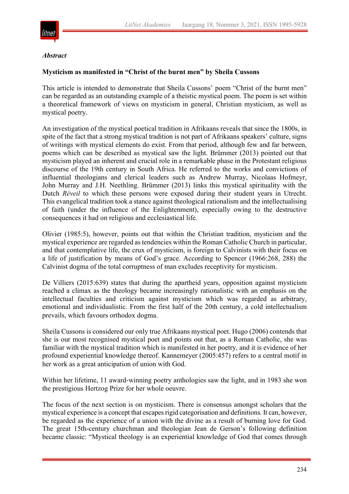

#### *Abstract*

#### **Mysticism as manifested in "Christ of the burnt men" by Sheila Cussons**

This article is intended to demonstrate that Sheila Cussons' poem "Christ of the burnt men" can be regarded as an outstanding example of a theistic mystical poem. The poem is set within a theoretical framework of views on mysticism in general, Christian mysticism, as well as mystical poetry.

An investigation of the mystical poetical tradition in Afrikaans reveals that since the 1800s, in spite of the fact that a strong mystical tradition is not part of Afrikaans speakers' culture, signs of writings with mystical elements do exist. From that period, although few and far between, poems which can be described as mystical saw the light. Brümmer (2013) pointed out that mysticism played an inherent and crucial role in a remarkable phase in the Protestant religious discourse of the 19th century in South Africa. He referred to the works and convictions of influential theologians and clerical leaders such as Andrew Murray, Nicolaas Hofmeyr, John Murray and J.H. Neethling. Brümmer (2013) links this mystical spirituality with the Dutch *Réveil* to which these persons were exposed during their student years in Utrecht. This evangelical tradition took a stance against theological rationalism and the intellectualising of faith (under the influence of the Enlightenment), especially owing to the destructive consequences it had on religious and ecclesiastical life.

Olivier (1985:5), however, points out that within the Christian tradition, mysticism and the mystical experience are regarded as tendencies within the Roman Catholic Church in particular, and that contemplative life, the crux of mysticism, is foreign to Calvinists with their focus on a life of justification by means of God's grace. According to Spencer (1966:268, 288) the Calvinist dogma of the total corruptness of man excludes receptivity for mysticism.

De Villiers (2015:639) states that during the apartheid years, opposition against mysticism reached a climax as the theology became increasingly rationalistic with an emphasis on the intellectual faculties and criticism against mysticism which was regarded as arbitrary, emotional and individualistic. From the first half of the 20th century, a cold intellectualism prevails, which favours orthodox dogma.

Sheila Cussons is considered our only true Afrikaans mystical poet. Hugo (2006) contends that she is our most recognised mystical poet and points out that, as a Roman Catholic, she was familiar with the mystical tradition which is manifested in her poetry, and it is evidence of her profound experiential knowledge thereof. Kannemeyer (2005:457) refers to a central motif in her work as a great anticipation of union with God.

Within her lifetime, 11 award-winning poetry anthologies saw the light, and in 1983 she won the prestigious Hertzog Prize for her whole oeuvre.

The focus of the next section is on mysticism. There is consensus amongst scholars that the mystical experience is a concept that escapes rigid categorisation and definitions. It can, however, be regarded as the experience of a union with the divine as a result of burning love for God. The great 15th-century churchman and theologian Jean de Gerson's following definition became classic: "Mystical theology is an experiential knowledge of God that comes through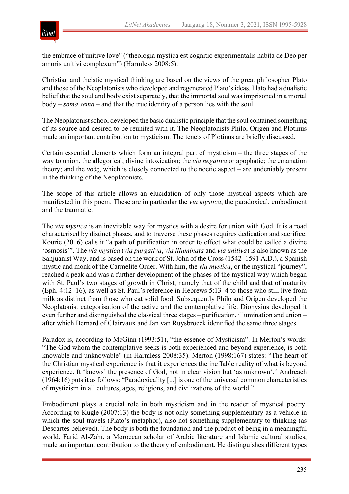

the embrace of unitive love" ("theologia mystica est cognitio experimentalis habita de Deo per amoris unitivi complexum") (Harmless 2008:5).

Christian and theistic mystical thinking are based on the views of the great philosopher Plato and those of the Neoplatonists who developed and regenerated Plato's ideas. Plato had a dualistic belief that the soul and body exist separately, that the immortal soul was imprisoned in a mortal body – *soma sema* – and that the true identity of a person lies with the soul.

The Neoplatonist school developed the basic dualistic principle that the soul contained something of its source and desired to be reunited with it. The Neoplatonists Philo, Origen and Plotinus made an important contribution to mysticism. The tenets of Plotinus are briefly discussed.

Certain essential elements which form an integral part of mysticism – the three stages of the way to union, the allegorical; divine intoxication; the *via negativa* or apophatic; the emanation theory; and the *νοῦς*, which is closely connected to the noetic aspect – are undeniably present in the thinking of the Neoplatonists.

The scope of this article allows an elucidation of only those mystical aspects which are manifested in this poem. These are in particular the *via mystica*, the paradoxical, embodiment and the traumatic.

The *via mystica* is an inevitable way for mystics with a desire for union with God. It is a road characterised by distinct phases, and to traverse these phases requires dedication and sacrifice. Kourie (2016) calls it "a path of purification in order to effect what could be called a divine 'osmosis'". The *via mystica* (*via purgativa*, *via illuminata* and *via unitiva*) is also known as the Sanjuanist Way, and is based on the work of St. John of the Cross (1542–1591 A.D.), a Spanish mystic and monk of the Carmelite Order. With him, the *via mystica*, or the mystical "journey", reached a peak and was a further development of the phases of the mystical way which began with St. Paul's two stages of growth in Christ, namely that of the child and that of maturity (Eph. 4:12–16), as well as St. Paul's reference in Hebrews 5:13–4 to those who still live from milk as distinct from those who eat solid food. Subsequently Philo and Origen developed the Neoplatonist categorisation of the active and the contemplative life. Dionysius developed it even further and distinguished the classical three stages – purification, illumination and union – after which Bernard of Clairvaux and Jan van Ruysbroeck identified the same three stages.

Paradox is, according to McGinn (1993:51), "the essence of Mysticism". In Merton's words: "The God whom the contemplative seeks is both experienced and beyond experience, is both knowable and unknowable" (in Harmless 2008:35). Merton (1998:167) states: "The heart of the Christian mystical experience is that it experiences the ineffable reality of what is beyond experience. It 'knows' the presence of God, not in clear vision but 'as unknown'." Andreach (1964:16) puts it as follows: "Paradoxicality [...] is one of the universal common characteristics of mysticism in all cultures, ages, religions, and civilizations of the world."

Embodiment plays a crucial role in both mysticism and in the reader of mystical poetry. According to Kugle (2007:13) the body is not only something supplementary as a vehicle in which the soul travels (Plato's metaphor), also not something supplementary to thinking (as Descartes believed). The body is both the foundation and the product of being in a meaningful world. Farid Al-Zahī, a Moroccan scholar of Arabic literature and Islamic cultural studies, made an important contribution to the theory of embodiment. He distinguishes different types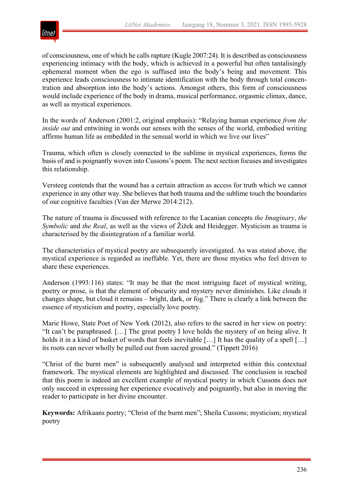

of consciousness, one of which he calls rapture (Kugle 2007:24). It is described as consciousness experiencing intimacy with the body, which is achieved in a powerful but often tantalisingly ephemeral moment when the ego is suffused into the body's being and movement. This experience leads consciousness to intimate identification with the body through total concentration and absorption into the body's actions. Amongst others, this form of consciousness would include experience of the body in drama, musical performance, orgasmic climax, dance, as well as mystical experiences.

In the words of Anderson (2001:2, original emphasis): "Relaying human experience *from the inside out* and entwining in words our senses with the senses of the world, embodied writing affirms human life as embedded in the sensual world in which we live our lives"

Trauma, which often is closely connected to the sublime in mystical experiences, forms the basis of and is poignantly woven into Cussons's poem. The next section focuses and investigates this relationship.

Versteeg contends that the wound has a certain attraction as access for truth which we cannot experience in any other way. She believes that both trauma and the sublime touch the boundaries of our cognitive faculties (Van der Merwe 2014:212).

The nature of trauma is discussed with reference to the Lacanian concepts *the Imaginary*, *the Symbolic* and *the Real*, as well as the views of Žižek and Heidegger. Mysticism as trauma is characterised by the disintegration of a familiar world.

The characteristics of mystical poetry are subsequently investigated. As was stated above, the mystical experience is regarded as ineffable. Yet, there are those mystics who feel driven to share these experiences.

Anderson (1993:116) states: "It may be that the most intriguing facet of mystical writing, poetry or prose, is that the element of obscurity and mystery never diminishes. Like clouds it changes shape, but cloud it remains – bright, dark, or fog." There is clearly a link between the essence of mysticism and poetry, especially love poetry.

Marie Howe, State Poet of New York (2012), also refers to the sacred in her view on poetry: "It can't be paraphrased. […] The great poetry I love holds the mystery of on being alive. It holds it in a kind of basket of words that feels inevitable [...] It has the quality of a spell [...] its roots can never wholly be pulled out from sacred ground." (Tippett 2016)

"Christ of the burnt men" is subsequently analysed and interpreted within this contextual framework. The mystical elements are highlighted and discussed. The conclusion is reached that this poem is indeed an excellent example of mystical poetry in which Cussons does not only succeed in expressing her experience evocatively and poignantly, but also in moving the reader to participate in her divine encounter.

**Keywords:** Afrikaans poetry; "Christ of the burnt men"; Sheila Cussons; mysticism; mystical poetry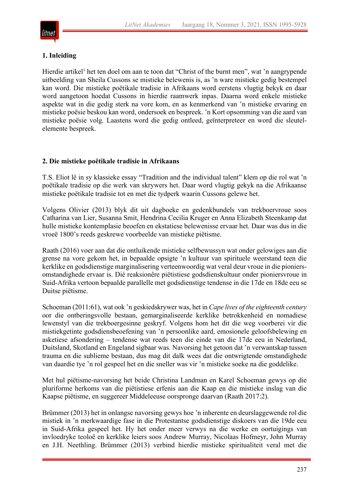

# **1. Inleiding**

Hierdie artikel<sup>1</sup> het ten doel om aan te toon dat "Christ of the burnt men", wat 'n aangrypende uitbeelding van Sheila Cussons se mistieke belewenis is, as 'n ware mistieke gedig bestempel kan word. Die mistieke poëtikale tradisie in Afrikaans word eerstens vlugtig bekyk en daar word aangetoon hoedat Cussons in hierdie raamwerk inpas. Daarna word enkele mistieke aspekte wat in die gedig sterk na vore kom, en as kenmerkend van 'n mistieke ervaring en mistieke poësie beskou kan word, ondersoek en bespreek. 'n Kort opsomming van die aard van mistieke poësie volg. Laastens word die gedig ontleed, geïnterpreteer en word die sleutelelemente bespreek.

## **2. Die mistieke poëtikale tradisie in Afrikaans**

T.S. Eliot lê in sy klassieke essay "Tradition and the individual talent" klem op die rol wat 'n poëtikale tradisie op die werk van skrywers het. Daar word vlugtig gekyk na die Afrikaanse mistieke poëtikale tradisie tot en met die tydperk waarin Cussons gelewe het.

Volgens Olivier (2013) blyk dit uit dagboeke en gedenkbundels van trekboervroue soos Catharina van Lier, Susanna Smit, Hendrina Cecilia Kruger en Anna Elizabeth Steenkamp dat hulle mistieke kontemplasie beoefen en ekstatiese belewenisse ervaar het. Daar was dus in die vroeë 1800's reeds geskrewe voorbeelde van mistieke piëtisme.

Raath (2016) voer aan dat die ontluikende mistieke selfbewussyn wat onder gelowiges aan die grense na vore gekom het, in bepaalde opsigte 'n kultuur van spirituele weerstand teen die kerklike en godsdienstige marginalisering verteenwoordig wat veral deur vroue in die pioniersomstandighede ervaar is. Dié reaksionêre piëtistiese godsdienskultuur onder pioniersvroue in Suid-Afrika vertoon bepaalde parallelle met godsdienstige tendense in die 17de en 18de eeu se Duitse piëtisme.

Schoeman (2011:61), wat ook 'n geskiedskrywer was, het in *Cape lives of the eighteenth century* oor die ontberingsvolle bestaan, gemarginaliseerde kerklike betrokkenheid en nomadiese lewenstyl van die trekboergesinne geskryf. Volgens hom het dit die weg voorberei vir die mistiekgetinte godsdiensbeoefening van 'n persoonlike aard, emosionele geloofsbelewing en asketiese afsondering – tendense wat reeds teen die einde van die 17de eeu in Nederland, Duitsland, Skotland en Engeland sigbaar was. Navorsing het getoon dat 'n verwantskap tussen trauma en die sublieme bestaan, dus mag dit dalk wees dat die ontwrigtende omstandighede van daardie tye 'n rol gespeel het en die sneller was vir 'n mistieke soeke na die goddelike.

Met hul piëtisme-navorsing het beide Christina Landman en Karel Schoeman gewys op die pluriforme herkoms van die piëtistiese erfenis aan die Kaap en die mistieke inslag van die Kaapse piëtisme, en suggereer Middeleeuse oorspronge daarvan (Raath 2017:2).

Brümmer (2013) het in onlangse navorsing gewys hoe 'n inherente en deurslaggewende rol die mistiek in 'n merkwaardige fase in die Protestantse godsdienstige diskoers van die 19de eeu in Suid-Afrika gespeel het. Hy het onder meer verwys na die werke en oortuigings van invloedryke teoloë en kerklike leiers soos Andrew Murray, Nicolaas Hofmeyr, John Murray en J.H. Neethling. Brümmer (2013) verbind hierdie mistieke spiritualiteit veral met die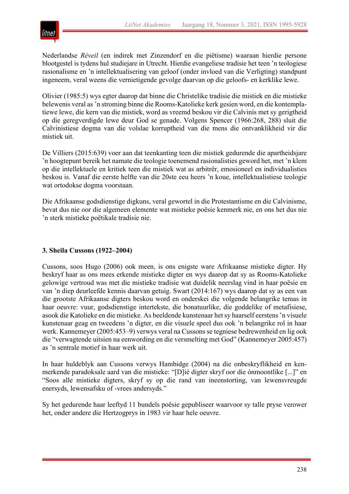

Nederlandse *Réveil* (en indirek met Zinzendorf en die piëtisme) waaraan hierdie persone blootgestel is tydens hul studiejare in Utrecht. Hierdie evangeliese tradisie het teen 'n teologiese rasionalisme en 'n intellektualisering van geloof (onder invloed van die Verligting) standpunt ingeneem, veral weens die vernietigende gevolge daarvan op die geloofs- en kerklike lewe.

Olivier (1985:5) wys egter daarop dat binne die Christelike tradisie die mistiek en die mistieke belewenis veral as 'n stroming binne die Rooms-Katolieke kerk gesien word, en die kontemplatiewe lewe, die kern van die mistiek, word as vreemd beskou vir die Calvinis met sy gerigtheid op die geregverdigde lewe deur God se genade. Volgens Spencer (1966:268, 288) sluit die Calvinistiese dogma van die volslae korruptheid van die mens die ontvanklikheid vir die mistiek uit.

De Villiers (2015:639) voer aan dat teenkanting teen die mistiek gedurende die apartheidsjare 'n hoogtepunt bereik het namate die teologie toenemend rasionalisties geword het, met 'n klem op die intellektuele en kritiek teen die mistiek wat as arbitrêr, emosioneel en individualisties beskou is. Vanaf die eerste helfte van die 20ste eeu heers 'n koue, intellektualistiese teologie wat ortodokse dogma voorstaan.

Die Afrikaanse godsdienstige digkuns, veral gewortel in die Protestantisme en die Calvinisme, bevat dus nie oor die algemeen elemente wat mistieke poësie kenmerk nie, en ons het dus nie 'n sterk mistieke poëtikale tradisie nie.

## **3. Sheila Cussons (1922–2004)**

Cussons, soos Hugo (2006) ook meen, is ons enigste ware Afrikaanse mistieke digter. Hy beskryf haar as ons mees erkende mistieke digter en wys daarop dat sy as Rooms-Katolieke gelowige vertroud was met die mistieke tradisie wat duidelik neerslag vind in haar poësie en van 'n diep deurleefde kennis daarvan getuig. Swart (2014:167) wys daarop dat sy as een van die grootste Afrikaanse digters beskou word en onderskei die volgende belangrike temas in haar oeuvre: vuur, godsdienstige intertekste, die bonatuurlike, die goddelike of metafisiese, asook die Katolieke en die mistieke. As beeldende kunstenaar het sy haarself eerstens 'n visuele kunstenaar geag en tweedens 'n digter, en die visuele speel dus ook 'n belangrike rol in haar werk. Kannemeyer (2005:453–9) verwys veral na Cussons se tegniese bedrewenheid en lig ook die "verwagtende uitsien na eenwording en die versmelting met God" (Kannemeyer 2005:457) as 'n sentrale motief in haar werk uit.

In haar huldeblyk aan Cussons verwys Hambidge (2004) na die onbeskryflikheid en kenmerkende paradoksale aard van die mistieke: "[D]ié digter skryf oor die ónmoontlike [...]" en "Soos alle mistieke digters, skryf sy op die rand van ineenstorting, van lewensvreugde enersyds, lewensafsku of -vrees andersyds."

Sy het gedurende haar leeftyd 11 bundels poësie gepubliseer waarvoor sy talle pryse verower het, onder andere die Hertzogprys in 1983 vir haar hele oeuvre.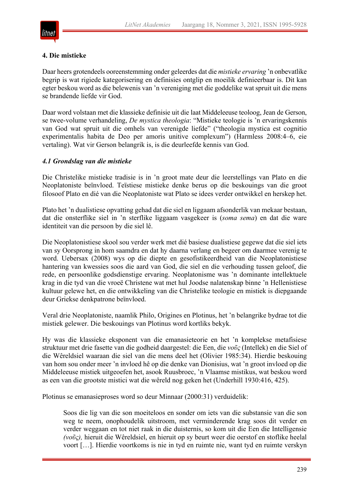

#### **4. Die mistieke**

Daar heers grotendeels ooreenstemming onder geleerdes dat die *mistieke ervaring* 'n onbevatlike begrip is wat rigiede kategorisering en definisies ontglip en moeilik definieerbaar is. Dit kan egter beskou word as die belewenis van 'n vereniging met die goddelike wat spruit uit die mens se brandende liefde vir God.

Daar word volstaan met die klassieke definisie uit die laat Middeleeuse teoloog, Jean de Gerson, se twee-volume verhandeling, *De mystica theologia*: "Mistieke teologie is 'n ervaringskennis van God wat spruit uit die omhels van verenigde liefde" ("theologia mystica est cognitio experimentalis habita de Deo per amoris unitive complexum") (Harmless 2008:4–6, eie vertaling). Wat vir Gerson belangrik is, is die deurleefde kennis van God.

#### *4.1 Grondslag van die mistieke*

Die Christelike mistieke tradisie is in 'n groot mate deur die leerstellings van Plato en die Neoplatoniste beïnvloed. Teïstiese mistieke denke berus op die beskouings van die groot filosoof Plato en dié van die Neoplatoniste wat Plato se idees verder ontwikkel en herskep het.

Plato het 'n dualistiese opvatting gehad dat die siel en liggaam afsonderlik van mekaar bestaan, dat die onsterflike siel in 'n sterflike liggaam vasgekeer is (*soma sema*) en dat die ware identiteit van die persoon by die siel lê.

Die Neoplatonistiese skool sou verder werk met dié basiese dualistiese gegewe dat die siel iets van sy Oorsprong in hom saamdra en dat hy daarna verlang en begeer om daarmee verenig te word. Uebersax (2008) wys op die diepte en gesofistikeerdheid van die Neoplatonistiese hantering van kwessies soos die aard van God, die siel en die verhouding tussen geloof, die rede, en persoonlike godsdienstige ervaring. Neoplatonisme was 'n dominante intellektuele krag in die tyd van die vroeë Christene wat met hul Joodse nalatenskap binne 'n Hellenistiese kultuur gelewe het, en die ontwikkeling van die Christelike teologie en mistiek is diepgaande deur Griekse denkpatrone beïnvloed.

Veral drie Neoplatoniste, naamlik Philo, Origines en Plotinus, het 'n belangrike bydrae tot die mistiek gelewer. Die beskouings van Plotinus word kortliks bekyk.

Hy was die klassieke eksponent van die emanasieteorie en het 'n komplekse metafisiese struktuur met drie fasette van die godheid daargestel: die Een, die *νοῦς* (Intellek) en die Siel of die Wêreldsiel waaraan die siel van die mens deel het (Olivier 1985:34). Hierdie beskouing van hom sou onder meer 'n invloed hê op die denke van Dionisius, wat 'n groot invloed op die Middeleeuse mistiek uitgeoefen het, asook Ruusbroec, 'n Vlaamse mistikus, wat beskou word as een van die grootste mistici wat die wêreld nog geken het (Underhill 1930:416, 425).

Plotinus se emanasieproses word so deur Minnaar (2000:31) verduidelik:

Soos die lig van die son moeiteloos en sonder om iets van die substansie van die son weg te neem, onophoudelik uitstroom, met verminderende krag soos dit verder en verder weggaan en tot niet raak in die duisternis, so kom uit die Een die Intelligensie *(νοῦς),* hieruit die Wêreldsiel, en hieruit op sy beurt weer die oerstof en stoflike heelal voort […]. Hierdie voortkoms is nie in tyd en ruimte nie, want tyd en ruimte verskyn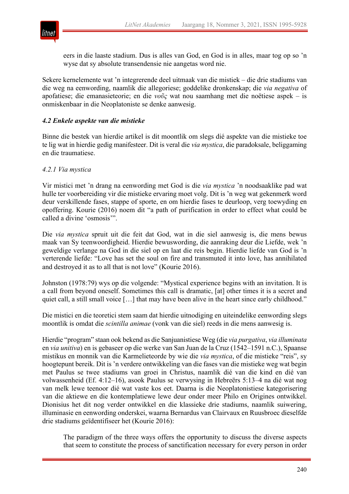

eers in die laaste stadium. Dus is alles van God, en God is in alles, maar tog op so 'n wyse dat sy absolute transendensie nie aangetas word nie.

Sekere kernelemente wat 'n integrerende deel uitmaak van die mistiek – die drie stadiums van die weg na eenwording, naamlik die allegoriese; goddelike dronkenskap; die *via negativa* of apofatiese; die emanasieteorie; en die *νοῦς* wat nou saamhang met die noëtiese aspek – is onmiskenbaar in die Neoplatoniste se denke aanwesig.

# *4.2 Enkele aspekte van die mistieke*

Binne die bestek van hierdie artikel is dit moontlik om slegs dié aspekte van die mistieke toe te lig wat in hierdie gedig manifesteer. Dit is veral die *via mystica*, die paradoksale, beliggaming en die traumatiese.

## *4.2.1 Via mystica*

Vir mistici met 'n drang na eenwording met God is die *via mystica* 'n noodsaaklike pad wat hulle ter voorbereiding vir die mistieke ervaring moet volg. Dit is 'n weg wat gekenmerk word deur verskillende fases, stappe of sporte, en om hierdie fases te deurloop, verg toewyding en opoffering. Kourie (2016) noem dit "a path of purification in order to effect what could be called a divine 'osmosis'".

Die *via mystica* spruit uit die feit dat God, wat in die siel aanwesig is, die mens bewus maak van Sy teenwoordigheid. Hierdie bewuswording, die aanraking deur die Liefde, wek 'n geweldige verlange na God in die siel op en laat die reis begin. Hierdie liefde van God is 'n verterende liefde: "Love has set the soul on fire and transmuted it into love, has annihilated and destroyed it as to all that is not love" (Kourie 2016).

Johnston (1978:79) wys op die volgende: "Mystical experience begins with an invitation. It is a call from beyond oneself. Sometimes this call is dramatic, [at] other times it is a secret and quiet call, a still small voice [...] that may have been alive in the heart since early childhood."

Die mistici en die teoretici stem saam dat hierdie uitnodiging en uiteindelike eenwording slegs moontlik is omdat die *scintilla animae* (vonk van die siel) reeds in die mens aanwesig is.

Hierdie "program" staan ook bekend as die Sanjuanistiese Weg (die *via purgativa*, *via illuminata* en *via unitiva*) en is gebaseer op die werke van San Juan de la Cruz (1542–1591 n.C.), Spaanse mistikus en monnik van die Karmelieteorde by wie die *via mystica*, of die mistieke "reis", sy hoogtepunt bereik. Dit is 'n verdere ontwikkeling van die fases van die mistieke weg wat begin met Paulus se twee stadiums van groei in Christus, naamlik dié van die kind en dié van volwassenheid (Ef. 4:12–16), asook Paulus se verwysing in Hebreërs 5:13–4 na dié wat nog van melk lewe teenoor dié wat vaste kos eet. Daarna is die Neoplatonistiese kategorisering van die aktiewe en die kontemplatiewe lewe deur onder meer Philo en Origines ontwikkel. Dionisius het dit nog verder ontwikkel en die klassieke drie stadiums, naamlik suiwering, illuminasie en eenwording onderskei, waarna Bernardus van Clairvaux en Ruusbroec dieselfde drie stadiums geïdentifiseer het (Kourie 2016):

The paradigm of the three ways offers the opportunity to discuss the diverse aspects that seem to constitute the process of sanctification necessary for every person in order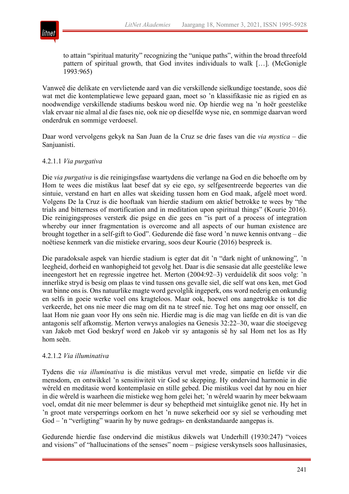

to attain "spiritual maturity" recognizing the "unique paths", within the broad threefold pattern of spiritual growth, that God invites individuals to walk […]. (McGonigle 1993:965)

Vanweë die delikate en vervlietende aard van die verskillende sielkundige toestande, soos dié wat met die kontemplatiewe lewe gepaard gaan, moet so 'n klassifikasie nie as rigied en as noodwendige verskillende stadiums beskou word nie. Op hierdie weg na 'n hoër geestelike vlak ervaar nie almal al die fases nie, ook nie op dieselfde wyse nie, en sommige daarvan word onderdruk en sommige verdoesel.

Daar word vervolgens gekyk na San Juan de la Cruz se drie fases van die *via mystica* – die Sanjuanisti.

## 4.2.1.1 *Via purgativa*

Die *via purgativa* is die reinigingsfase waartydens die verlange na God en die behoefte om by Hom te wees die mistikus laat besef dat sy eie ego, sy selfgesentreerde begeertes van die sintuie, verstand en hart en alles wat skeiding tussen hom en God maak, afgelê moet word. Volgens De la Cruz is die hooftaak van hierdie stadium om aktief betrokke te wees by "the trials and bitterness of mortification and in meditation upon spiritual things" (Kourie 2016). Die reinigingsproses versterk die psige en die gees en "is part of a process of integration whereby our inner fragmentation is overcome and all aspects of our human existence are brought together in a self-gift to God". Gedurende dié fase word 'n nuwe kennis ontvang – die noëtiese kenmerk van die mistieke ervaring, soos deur Kourie (2016) bespreek is.

Die paradoksale aspek van hierdie stadium is egter dat dit 'n "dark night of unknowing"*,* 'n leegheid, dorheid en wanhopigheid tot gevolg het. Daar is die sensasie dat alle geestelike lewe ineengestort het en regressie ingetree het. Merton (2004:92–3) verduidelik dit soos volg: 'n innerlike stryd is besig om plaas te vind tussen ons gevalle siel, die self wat ons ken, met God wat binne ons is. Ons natuurlike magte word gevolglik ingeperk, ons word nederig en onkundig en selfs in goeie werke voel ons kragteloos. Maar ook, hoewel ons aangetrokke is tot die verkeerde, het ons nie meer die mag om dit na te streef nie. Tog het ons mag oor onsself, en laat Hom nie gaan voor Hy ons seën nie. Hierdie mag is die mag van liefde en dit is van die antagonis self afkomstig. Merton verwys analogies na Genesis 32:22–30, waar die stoeigeveg van Jakob met God beskryf word en Jakob vir sy antagonis sê hy sal Hom net los as Hy hom seën.

## 4.2.1.2 *Via illuminativa*

Tydens die *via illuminativa* is die mistikus vervul met vrede, simpatie en liefde vir die mensdom, en ontwikkel 'n sensitiwiteit vir God se skepping. Hy ondervind harmonie in die wêreld en meditasie word kontemplasie en stille gebed. Die mistikus voel dat hy nou en hier in die wêreld is waarheen die mistieke weg hom gelei het; 'n wêreld waarin hy meer bekwaam voel, omdat dit nie meer belemmer is deur sy beheptheid met sintuiglike genot nie. Hy het in 'n groot mate versperrings oorkom en het 'n nuwe sekerheid oor sy siel se verhouding met God – 'n "verligting" waarin hy by nuwe gedrags- en denkstandaarde aangepas is.

Gedurende hierdie fase ondervind die mistikus dikwels wat Underhill (1930:247) "voices and visions" of "hallucinations of the senses" noem – psigiese verskynsels soos hallusinasies,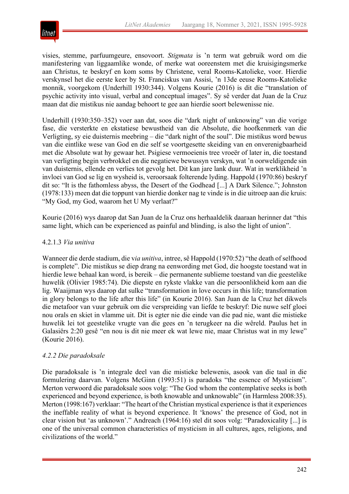

visies, stemme, parfuumgeure, ensovoort. *Stigmata* is 'n term wat gebruik word om die manifestering van liggaamlike wonde, of merke wat ooreenstem met die kruisigingsmerke aan Christus, te beskryf en kom soms by Christene, veral Rooms-Katolieke, voor. Hierdie verskynsel het die eerste keer by St. Franciskus van Assisi, 'n 13de eeuse Rooms-Katolieke monnik, voorgekom (Underhill 1930:344). Volgens Kourie (2016) is dit die "translation of psychic activity into visual, verbal and conceptual images". Sy sê verder dat Juan de la Cruz maan dat die mistikus nie aandag behoort te gee aan hierdie soort belewenisse nie.

Underhill (1930:350–352) voer aan dat, soos die "dark night of unknowing" van die vorige fase, die versterkte en ekstatiese bewustheid van die Absolute, die hoofkenmerk van die Verligting, sy eie duisternis meebring – die "dark night of the soul". Die mistikus word bewus van die eintlike wese van God en die self se voortgesette skeiding van en onverenigbaarheid met die Absolute wat hy gewaar het. Psigiese vermoeienis tree vroeër of later in, die toestand van verligting begin verbrokkel en die negatiewe bewussyn verskyn, wat 'n oorweldigende sin van duisternis, ellende en verlies tot gevolg het. Dit kan jare lank duur. Wat in werklikheid 'n invloei van God se lig en wysheid is, veroorsaak folterende lyding. Happold (1970:86) beskryf dit so: "It is the fathomless abyss, the Desert of the Godhead [...] A Dark Silence."; Johnston (1978:133) meen dat die toppunt van hierdie donker nag te vinde is in die uitroep aan die kruis: "My God, my God, waarom het U My verlaat?"

Kourie (2016) wys daarop dat San Juan de la Cruz ons herhaaldelik daaraan herinner dat "this same light, which can be experienced as painful and blinding, is also the light of union".

## 4.2.1.3 *Via unitiva*

Wanneer die derde stadium, die v*ia unitiva*, intree, sê Happold (1970:52) "the death of selfhood is complete". Die mistikus se diep drang na eenwording met God, die hoogste toestand wat in hierdie lewe behaal kan word, is bereik – die permanente sublieme toestand van die geestelike huwelik (Olivier 1985:74). Die diepste en rykste vlakke van die persoonlikheid kom aan die lig. Waaijman wys daarop dat sulke "transformation in love occurs in this life; transformation in glory belongs to the life after this life" (in Kourie 2016). San Juan de la Cruz het dikwels die metafoor van vuur gebruik om die verspreiding van liefde te beskryf: Die nuwe self gloei nou orals en skiet in vlamme uit. Dit is egter nie die einde van die pad nie, want die mistieke huwelik lei tot geestelike vrugte van die gees en 'n terugkeer na die wêreld. Paulus het in Galasiërs 2:20 gesê "en nou is dit nie meer ek wat lewe nie, maar Christus wat in my lewe" (Kourie 2016).

## *4.2.2 Die paradoksale*

Die paradoksale is 'n integrale deel van die mistieke belewenis, asook van die taal in die formulering daarvan. Volgens McGinn (1993:51) is paradoks "the essence of Mysticism". Merton verwoord die paradoksale soos volg: "The God whom the contemplative seeks is both experienced and beyond experience, is both knowable and unknowable" (in Harmless 2008:35). Merton (1998:167) verklaar: "The heart of the Christian mystical experience is that it experiences the ineffable reality of what is beyond experience. It 'knows' the presence of God, not in clear vision but 'as unknown'." Andreach (1964:16) stel dit soos volg: "Paradoxicality [...] is one of the universal common characteristics of mysticism in all cultures, ages, religions, and civilizations of the world."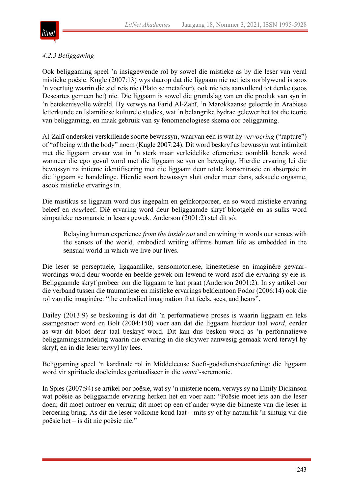

# *4.2.3 Beliggaming*

Ook beliggaming speel 'n insiggewende rol by sowel die mistieke as by die leser van veral mistieke poësie. Kugle (2007:13) wys daarop dat die liggaam nie net iets oorblywend is soos 'n voertuig waarin die siel reis nie (Plato se metafoor), ook nie iets aanvullend tot denke (soos Descartes gemeen het) nie. Die liggaam is sowel die grondslag van en die produk van syn in 'n betekenisvolle wêreld. Hy verwys na Farid Al-Zahī, 'n Marokkaanse geleerde in Arabiese letterkunde en Islamitiese kulturele studies, wat 'n belangrike bydrae gelewer het tot die teorie van beliggaming, en maak gebruik van sy fenomenologiese skema oor beliggaming.

Al-Zahī onderskei verskillende soorte bewussyn, waarvan een is wat hy *vervoering* ("rapture") of "of being with the body" noem (Kugle 2007:24). Dit word beskryf as bewussyn wat intimiteit met die liggaam ervaar wat in 'n sterk maar verleidelike efemeriese oomblik bereik word wanneer die ego gevul word met die liggaam se syn en beweging. Hierdie ervaring lei die bewussyn na intieme identifisering met die liggaam deur totale konsentrasie en absorpsie in die liggaam se handelinge. Hierdie soort bewussyn sluit onder meer dans, seksuele orgasme, asook mistieke ervarings in.

Die mistikus se liggaam word dus ingepalm en geïnkorporeer, en so word mistieke ervaring beleef en *deur*leef. Dié ervaring word deur beliggaamde skryf blootgelê en as sulks word simpatieke resonansie in lesers gewek. Anderson (2001:2) stel dit só:

Relaying human experience *from the inside out* and entwining in words our senses with the senses of the world, embodied writing affirms human life as embedded in the sensual world in which we live our lives.

Die leser se perseptuele, liggaamlike, sensomotoriese, kinestetiese en imaginêre gewaarwordings word deur woorde en beelde gewek om lewend te word asof die ervaring sy eie is. Beliggaamde skryf probeer om die liggaam te laat praat (Anderson 2001:2). In sy artikel oor die verband tussen die traumatiese en mistieke ervarings beklemtoon Fodor (2006:14) ook die rol van die imaginêre: "the embodied imagination that feels, sees, and hears".

Dailey (2013:9) se beskouing is dat dit 'n performatiewe proses is waarin liggaam en teks saamgesnoer word en Bolt (2004:150) voer aan dat die liggaam hierdeur taal *word*, eerder as wat dit bloot deur taal beskryf word. Dit kan dus beskou word as 'n performatiewe beliggamingshandeling waarin die ervaring in die skrywer aanwesig gemaak word terwyl hy skryf, en in die leser terwyl hy lees.

Beliggaming speel 'n kardinale rol in Middeleeuse Soefi-godsdiensbeoefening; die liggaam word vir spirituele doeleindes geritualiseer in die *samā*'-seremonie.

In Spies (2007:94) se artikel oor poësie, wat sy 'n misterie noem, verwys sy na Emily Dickinson wat poësie as beliggaamde ervaring herken het en voer aan: "Poësie moet iets aan die leser doen; dit moet ontroer en verruk; dit moet op een of ander wyse die binneste van die leser in beroering bring. As dit die leser volkome koud laat – mits sy of hy natuurlik 'n sintuig vir die poësie het – is dit nie poësie nie."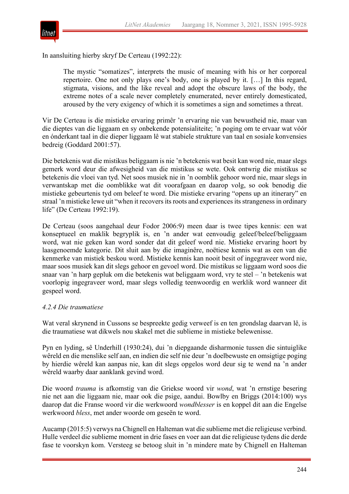

In aansluiting hierby skryf De Certeau (1992:22):

The mystic "somatizes", interprets the music of meaning with his or her corporeal repertoire. One not only plays one's body, one is played by it. […] In this regard, stigmata, visions, and the like reveal and adopt the obscure laws of the body, the extreme notes of a scale never completely enumerated, never entirely domesticated, aroused by the very exigency of which it is sometimes a sign and sometimes a threat.

Vir De Certeau is die mistieke ervaring primêr 'n ervaring nie van bewustheid nie, maar van die dieptes van die liggaam en sy onbekende potensialiteite; 'n poging om te ervaar wat vóór en ónderkant taal in die dieper liggaam lê wat stabiele strukture van taal en sosiale konvensies bedreig (Goddard 2001:57).

Die betekenis wat die mistikus beliggaam is nie 'n betekenis wat besit kan word nie, maar slegs gemerk word deur die afwesigheid van die mistikus se wete. Ook ontwrig die mistikus se betekenis die vloei van tyd. Net soos musiek nie in 'n oomblik gehoor word nie, maar slegs in verwantskap met die oomblikke wat dit voorafgaan en daarop volg, so ook benodig die mistieke gebeurtenis tyd om beleef te word. Die mistieke ervaring "opens up an itinerary" en straal 'n mistieke lewe uit "when it recovers its roots and experiences its strangeness in ordinary life" (De Certeau 1992:19).

De Certeau (soos aangehaal deur Fodor 2006:9) meen daar is twee tipes kennis: een wat konseptueel en maklik begryplik is, en 'n ander wat eenvoudig geleef/beleef/beliggaam word, wat nie geken kan word sonder dat dit geleef word nie. Mistieke ervaring hoort by laasgenoemde kategorie. Dit sluit aan by die imaginêre, noëtiese kennis wat as een van die kenmerke van mistiek beskou word. Mistieke kennis kan nooit besit of ingegraveer word nie, maar soos musiek kan dit slegs gehoor en gevoel word. Die mistikus se liggaam word soos die snaar van 'n harp gepluk om die betekenis wat beliggaam word, vry te stel – 'n betekenis wat voorlopig ingegraveer word, maar slegs volledig teenwoordig en werklik word wanneer dit gespeel word.

## *4.2.4 Die traumatiese*

Wat veral skrynend in Cussons se bespreekte gedig verweef is en ten grondslag daarvan lê, is die traumatiese wat dikwels nou skakel met die sublieme in mistieke belewenisse.

Pyn en lyding, sê Underhill (1930:24), dui 'n diepgaande disharmonie tussen die sintuiglike wêreld en die menslike self aan, en indien die self nie deur 'n doelbewuste en omsigtige poging by hierdie wêreld kan aanpas nie, kan dit slegs opgelos word deur sig te wend na 'n ander wêreld waarby daar aanklank gevind word.

Die woord *trauma* is afkomstig van die Griekse woord vir *wond*, wat 'n ernstige besering nie net aan die liggaam nie, maar ook die psige, aandui. Bowlby en Briggs (2014:100) wys daarop dat die Franse woord vir die werkwoord *wondblesser* is en koppel dit aan die Engelse werkwoord *bless*, met ander woorde om geseën te word.

Aucamp (2015:5) verwys na Chignell en Halteman wat die sublieme met die religieuse verbind. Hulle verdeel die sublieme moment in drie fases en voer aan dat die religieuse tydens die derde fase te voorskyn kom. Versteeg se betoog sluit in 'n mindere mate by Chignell en Halteman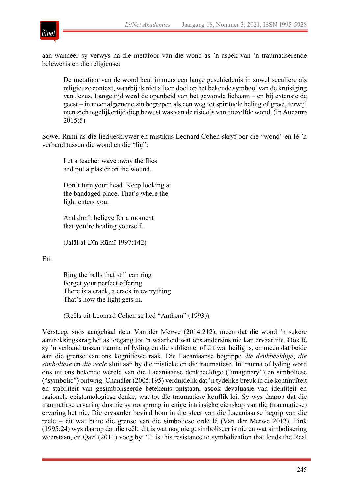

aan wanneer sy verwys na die metafoor van die wond as 'n aspek van 'n traumatiserende belewenis en die religieuse:

De metafoor van de wond kent immers een lange geschiedenis in zowel seculiere als religieuze context, waarbij ik niet alleen doel op het bekende symbool van de kruisiging van Jezus. Lange tijd werd de openheid van het gewonde lichaam – en bij extensie de geest – in meer algemene zin begrepen als een weg tot spirituele heling of groei, terwijl men zich tegelijkertijd diep bewust was van de risico's van diezelfde wond. (In Aucamp 2015:5)

Sowel Rumi as die liedjieskrywer en mistikus Leonard Cohen skryf oor die "wond" en lê 'n verband tussen die wond en die "lig":

Let a teacher wave away the flies and put a plaster on the wound.

Don't turn your head. Keep looking at the bandaged place. That's where the light enters you.

And don't believe for a moment that you're healing yourself.

(Jalāl al-Dīn Rūmī 1997:142)

En:

Ring the bells that still can ring Forget your perfect offering There is a crack, a crack in everything That's how the light gets in.

(Reëls uit Leonard Cohen se lied "Anthem" (1993))

Versteeg, soos aangehaal deur Van der Merwe (2014:212), meen dat die wond 'n sekere aantrekkingskrag het as toegang tot 'n waarheid wat ons andersins nie kan ervaar nie. Ook lê sy 'n verband tussen trauma of lyding en die sublieme, of dit wat heilig is, en meen dat beide aan die grense van ons kognitiewe raak. Die Lacaniaanse begrippe *die denkbeeldige*, *die simboliese* en *die reële* sluit aan by die mistieke en die traumatiese. In trauma of lyding word ons uit ons bekende wêreld van die Lacaniaanse denkbeeldige ("imaginary") en simboliese ("symbolic") ontwrig. Chandler (2005:195) verduidelik dat 'n tydelike breuk in die kontinuïteit en stabiliteit van gesimboliseerde betekenis ontstaan, asook devaluasie van identiteit en rasionele epistemologiese denke, wat tot die traumatiese konflik lei. Sy wys daarop dat die traumatiese ervaring dus nie sy oorsprong in enige intrinsieke eienskap van die (traumatiese) ervaring het nie. Die ervaarder bevind hom in die sfeer van die Lacaniaanse begrip van die reële – dit wat buite die grense van die simboliese orde lê (Van der Merwe 2012). Fink (1995:24) wys daarop dat die reële dit is wat nog nie gesimboliseer is nie en wat simbolisering weerstaan, en Qazi (2011) voeg by: "It is this resistance to symbolization that lends the Real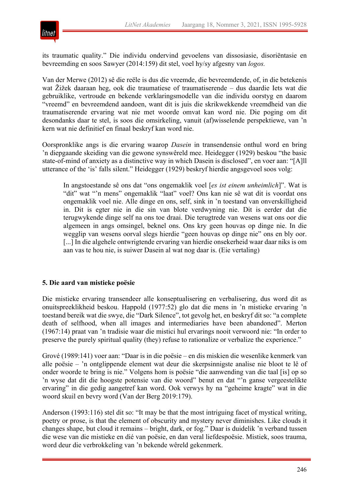

its traumatic quality." Die individu ondervind gevoelens van dissosiasie, disoriëntasie en bevreemding en soos Sawyer (2014:159) dit stel, voel hy/sy afgesny van *logos.*

Van der Merwe (2012) sê die reële is dus die vreemde, die bevreemdende, of, in die betekenis wat Žižek daaraan heg, ook die traumatiese of traumatiserende – dus daardie Iets wat die gebruiklike, vertroude en bekende verklaringsmodelle van die individu oorstyg en daarom "vreemd" en bevreemdend aandoen, want dít is juis die skrikwekkende vreemdheid van die traumatiserende ervaring wat nie met woorde omvat kan word nie. Die poging om dit desondanks daar te stel, is soos die omsirkeling, vanuit (af)wisselende perspektiewe, van 'n kern wat nie definitief en finaal beskryf kan word nie.

Oorspronklike angs is die ervaring waarop *Dasein* in transendensie onthul word en bring 'n diepgaande skeiding van die gewone synswêreld mee. Heidegger (1929) beskou "the basic state-of-mind of anxiety as a distinctive way in which Dasein is disclosed", en voer aan: "[A]ll utterance of the 'is' falls silent." Heidegger (1929) beskryf hierdie angsgevoel soos volg:

In angstoestande sê ons dat "ons ongemaklik voel [*es ist einem unheimlich*]". Wat is "dit" wat "'n mens" ongemaklik "laat" voel? Ons kan nie sê wat dit is voordat ons ongemaklik voel nie. Alle dinge en ons, self, sink in 'n toestand van onverskilligheid in. Dit is egter nie in die sin van blote verdwyning nie. Dit is eerder dat die terugwykende dinge self na ons toe draai. Die terugtrede van wesens wat ons oor die algemeen in angs omsingel, beknel ons. Ons kry geen houvas op dinge nie. In die wegglip van wesens oorval slegs hierdie "geen houvas op dinge nie" ons en bly oor. [...] In die algehele ontwrigtende ervaring van hierdie onsekerheid waar daar niks is om aan vas te hou nie, is suiwer Dasein al wat nog daar is. (Eie vertaling)

## **5. Die aard van mistieke poësie**

Die mistieke ervaring transendeer alle konseptualisering en verbalisering, dus word dit as onuitspreeklikheid beskou. Happold (1977:52) glo dat die mens in 'n mistieke ervaring 'n toestand bereik wat die swye, die "Dark Silence", tot gevolg het, en beskryf dit so: "a complete death of selfhood, when all images and intermediaries have been abandoned". Merton (1967:14) praat van 'n tradisie waar die mistici hul ervarings nooit verwoord nie: "In order to preserve the purely spiritual quality (they) refuse to rationalize or verbalize the experience."

Grové (1989:141) voer aan: "Daar is in die poësie – en dis miskien die wesenlike kenmerk van alle poësie – 'n ontglippende element wat deur die skerpsinnigste analise nie bloot te lê of onder woorde te bring is nie." Volgens hom is poësie "die aanwending van die taal [is] op so 'n wyse dat dit die hoogste potensie van die woord" benut en dat "'n ganse vergeestelikte ervaring" in die gedig aangetref kan word. Ook verwys hy na "geheime kragte" wat in die woord skuil en bevry word (Van der Berg 2019:179).

Anderson (1993:116) stel dit so: "It may be that the most intriguing facet of mystical writing, poetry or prose, is that the element of obscurity and mystery never diminishes. Like clouds it changes shape, but cloud it remains – bright, dark, or fog." Daar is duidelik 'n verband tussen die wese van die mistieke en dié van poësie, en dan veral liefdespoësie. Mistiek, soos trauma, word deur die verbrokkeling van 'n bekende wêreld gekenmerk.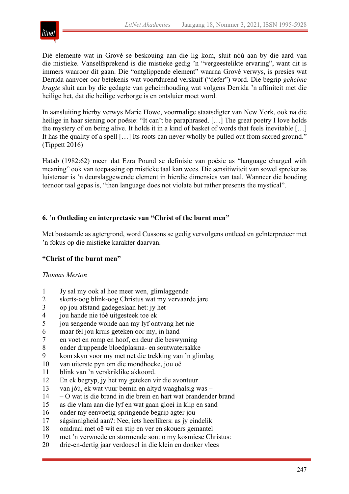

Dié elemente wat in Grové se beskouing aan die lig kom, sluit nóú aan by die aard van die mistieke. Vanselfsprekend is die mistieke gedig 'n "vergeestelikte ervaring", want dit is immers waaroor dit gaan. Die "ontglippende element" waarna Grové verwys, is presies wat Derrida aanvoer oor betekenis wat voortdurend verskuif ("defer") word. Die begrip *geheime kragte* sluit aan by die gedagte van geheimhouding wat volgens Derrida 'n affiniteit met die heilige het, dat die heilige verborge is en ontsluier moet word.

In aansluiting hierby verwys Marie Howe, voormalige staatsdigter van New York, ook na die heilige in haar siening oor poësie: "It can't be paraphrased. [...] The great poetry I love holds the mystery of on being alive. It holds it in a kind of basket of words that feels inevitable […] It has the quality of a spell […] Its roots can never wholly be pulled out from sacred ground." (Tippett 2016)

Hatab (1982:62) meen dat Ezra Pound se definisie van poësie as "language charged with meaning" ook van toepassing op mistieke taal kan wees. Die sensitiwiteit van sowel spreker as luisteraar is 'n deurslaggewende element in hierdie dimensies van taal. Wanneer die houding teenoor taal gepas is, "then language does not violate but rather presents the mystical".

# **6. 'n Ontleding en interpretasie van "Christ of the burnt men"**

Met bostaande as agtergrond, word Cussons se gedig vervolgens ontleed en geïnterpreteer met 'n fokus op die mistieke karakter daarvan.

## **"Christ of the burnt men"**

## *Thomas Merton*

- 1 Jy sal my ook al hoe meer wen, glimlaggende
- 2 skerts-oog blink-oog Christus wat my vervaarde jare
- 3 op jou afstand gadegeslaan het: jy het
- 4 jou hande nie tóé uitgesteek toe ek
- 5 jou sengende wonde aan my lyf ontvang het nie
- 6 maar fel jou kruis geteken oor my, in hand
- 7 en voet en romp en hoof, en deur die beswyming
- 8 onder druppende bloedplasma- en soutwatersakke
- 9 kom skyn voor my met net die trekking van 'n glimlag
- 10 van uiterste pyn om die mondhoeke, jou oë
- 11 blink van 'n verskriklike akkoord.
- 12 En ek begryp, jy het my geteken vir die avontuur
- 13 van jóú, ek wat vuur bemin en altyd waaghalsig was –
- 14 O wat is die brand in die brein en hart wat brandender brand
- 15 as die vlam aan die lyf en wat gaan gloei in klip en sand
- 16 onder my eenvoetig-springende begrip agter jou
- 17 ságsinnigheid aan?: Nee, iets heerlikers: as jy eindelik
- 18 omdraai met oë wit en stip en ver en skouers gemantel
- 19 met 'n verwoede en stormende son: o my kosmiese Christus:
- 20 drie-en-dertig jaar verdoesel in die klein en donker vlees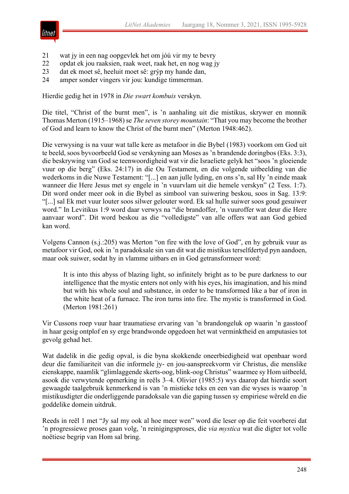

- 21 wat jy in een nag oopgevlek het om jóú vir my te bevry
- 22 opdat ek jou raaksien, raak weet, raak het, en nog wag jy
- 23 dat ek moet sê, heeluit moet sê: grýp my hande dan,
- 24 amper sonder vingers vir jou: kundige timmerman.

Hierdie gedig het in 1978 in *Die swart kombuis* verskyn.

Die titel, "Christ of the burnt men", is 'n aanhaling uit die mistikus, skrywer en monnik Thomas Merton (1915–1968) se *The seven storey mountain*: "That you may become the brother of God and learn to know the Christ of the burnt men" (Merton 1948:462).

Die verwysing is na vuur wat talle kere as metafoor in die Bybel (1983) voorkom om God uit te beeld, soos byvoorbeeld God se verskyning aan Moses as 'n brandende doringbos (Eks. 3:3), die beskrywing van God se teenwoordigheid wat vir die Israeliete gelyk het "soos 'n gloeiende vuur op die berg" (Eks. 24:17) in die Ou Testament, en die volgende uitbeelding van die wederkoms in die Nuwe Testament: "[...] en aan julle lyding, en ons s'n, sal Hy 'n einde maak wanneer die Here Jesus met sy engele in 'n vuurvlam uit die hemele verskyn" (2 Tess. 1:7). Dit word onder meer ook in die Bybel as simbool van suiwering beskou, soos in Sag. 13:9: "[...] sal Ek met vuur louter soos silwer gelouter word. Ek sal hulle suiwer soos goud gesuiwer word." In Levitikus 1:9 word daar verwys na "die brandoffer, 'n vuuroffer wat deur die Here aanvaar word". Dit word beskou as die "volledigste" van alle offers wat aan God gebied kan word.

Volgens Cannon (s.j.:205) was Merton "on fire with the love of God", en hy gebruik vuur as metafoor vir God, ook in 'n paradoksale sin van dit wat die mistikus terselfdertyd pyn aandoen, maar ook suiwer, sodat hy in vlamme uitbars en in God getransformeer word:

It is into this abyss of blazing light, so infinitely bright as to be pure darkness to our intelligence that the mystic enters not only with his eyes, his imagination, and his mind but with his whole soul and substance, in order to be transformed like a bar of iron in the white heat of a furnace. The iron turns into fire. The mystic is transformed in God. (Merton 1981:261)

Vir Cussons roep vuur haar traumatiese ervaring van 'n brandongeluk op waarin 'n gasstoof in haar gesig ontplof en sy erge brandwonde opgedoen het wat verminktheid en amputasies tot gevolg gehad het.

Wat dadelik in die gedig opval, is die byna skokkende oneerbiedigheid wat openbaar word deur die familiariteit van die informele jy- en jou-aanspreekvorm vir Christus, die menslike eienskappe, naamlik "glimlaggende skerts-oog, blink-oog Christus" waarmee sy Hom uitbeeld, asook die verwytende opmerking in reëls 3–4. Olivier (1985:5) wys daarop dat hierdie soort gewaagde taalgebruik kenmerkend is van 'n mistieke teks en een van die wyses is waarop 'n mistikusdigter die onderliggende paradoksale van die gaping tussen sy empiriese wêreld en die goddelike domein uitdruk.

Reeds in reël 1 met "Jy sal my ook al hoe meer wen" word die leser op die feit voorberei dat 'n progressiewe proses gaan volg, 'n reinigingsproses, die *via mystica* wat die digter tot volle noëtiese begrip van Hom sal bring.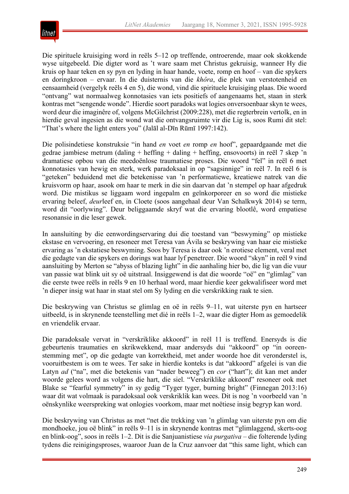

Die spirituele kruisiging word in reëls 5–12 op treffende, ontroerende, maar ook skokkende wyse uitgebeeld. Die digter word as 't ware saam met Christus gekruisig, wanneer Hy die kruis op haar teken en sy pyn en lyding in haar hande, voete, romp en hoof – van die spykers en doringkroon – ervaar. In die duisternis van die *khôra*, die plek van verstotenheid en eensaamheid (vergelyk reëls 4 en 5), die wond, vind die spirituele kruisiging plaas. Die woord "ontvang" wat normaalweg konnotasies van iets positiefs of aangenaams het, staan in sterk kontras met "sengende wonde". Hierdie soort paradoks wat logies onversoenbaar skyn te wees, word deur die imaginêre of, volgens McGilchrist (2009:228), met die regterbrein vertolk, en in hierdie geval ingesien as die wond wat die ontvangsruimte vir die Lig is, soos Rumi dit stel: "That's where the light enters you" (Jalāl al-Dīn Rūmī 1997:142).

Die polisindetiese konstruksie "in hand *en* voet *en* romp *en* hoof", gepaardgaande met die gedrae jambiese metrum (daling + heffing + daling + heffing, ensovoorts) in reël 7 skep 'n dramatiese opbou van die meedoënlose traumatiese proses. Die woord "fel" in reël 6 met konnotasies van hewig en sterk, werk paradoksaal in op "sagsinnige" in reël 7. In reël 6 is "geteken" beduidend met die betekenisse van 'n performatiewe, kreatiewe natrek van die kruisvorm op haar, asook om haar te merk in die sin daarvan dat 'n stempel op haar afgedruk word. Die mistikus se liggaam word ingepalm en geïnkorporeer en so word die mistieke ervaring beleef, *deur*leef en, in Cloete (soos aangehaal deur Van Schalkwyk 2014) se term, word dit "oorlywing". Deur beliggaamde skryf wat die ervaring blootlê, word empatiese resonansie in die leser gewek.

In aansluiting by die eenwordingservaring dui die toestand van "beswyming" op mistieke ekstase en vervoering, en resoneer met Teresa van Ávila se beskrywing van haar eie mistieke ervaring as 'n ekstatiese beswyming. Soos by Teresa is daar ook 'n erotiese element, veral met die gedagte van die spykers en dorings wat haar lyf penetreer. Die woord "skyn" in reël 9 vind aansluiting by Merton se "abyss of blazing light" in die aanhaling hier bo, die lig van die vuur van passie wat blink uit sy oë uitstraal. Insiggewend is dat die woorde "oë" en "glimlag" van die eerste twee reëls in reëls 9 en 10 herhaal word, maar hierdie keer gekwalifiseer word met 'n dieper insig wat haar in staat stel om Sy lyding en die verskrikking raak te sien.

Die beskrywing van Christus se glimlag en oë in reëls 9–11, wat uiterste pyn en hartseer uitbeeld, is in skrynende teenstelling met dié in reëls 1–2, waar die digter Hom as gemoedelik en vriendelik ervaar.

Die paradoksale vervat in "verskriklike akkoord" in reël 11 is treffend. Enersyds is die gebeurtenis traumaties en skrikwekkend, maar andersyds dui "akkoord" op "in ooreenstemming met", op die gedagte van korrektheid, met ander woorde hoe dit veronderstel is, vooruitbestem is om te wees. Ter sake in hierdie konteks is dat "akkoord" afgelei is van die Latyn *ad* ("na", met die betekenis van "nader beweeg") en *cor* ("hart"); dit kan met ander woorde gelees word as volgens die hart, die siel. "Verskriklike akkoord" resoneer ook met Blake se "fearful symmetry" in sy gedig "Tyger tyger, burning bright" (Finnegan 2013:16) waar dit wat volmaak is paradoksaal ook verskriklik kan wees. Dit is nog 'n voorbeeld van 'n oënskynlike weerspreking wat onlogies voorkom, maar met noëtiese insig begryp kan word.

Die beskrywing van Christus as met "net die trekking van 'n glimlag van uiterste pyn om die mondhoeke, jou oë blink" in reëls 9–11 is in skrynende kontras met "glimlaggend, skerts-oog en blink-oog", soos in reëls 1–2. Dit is die Sanjuanistiese *via purgativa* – die folterende lyding tydens die reinigingsproses, waaroor Juan de la Cruz aanvoer dat "this same light, which can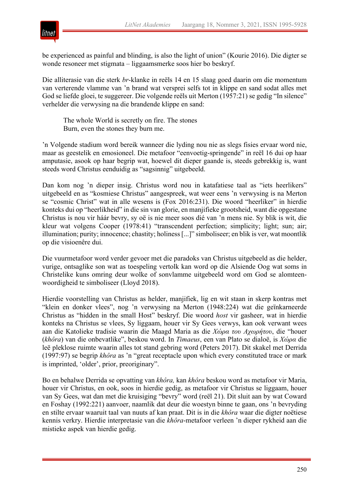

be experienced as painful and blinding, is also the light of union" (Kourie 2016). Die digter se wonde resoneer met stigmata – liggaamsmerke soos hier bo beskryf.

Die alliterasie van die sterk *br*-klanke in reëls 14 en 15 slaag goed daarin om die momentum van verterende vlamme van 'n brand wat versprei selfs tot in klippe en sand sodat alles met God se liefde gloei, te suggereer. Die volgende reëls uit Merton (1957:21) se gedig "In silence" verhelder die verwysing na die brandende klippe en sand:

The whole World is secretly on fire. The stones Burn, even the stones they burn me.

'n Volgende stadium word bereik wanneer die lyding nou nie as slegs fisies ervaar word nie, maar as geestelik en emosioneel. Die metafoor "eenvoetig-springende" in reël 16 dui op haar amputasie, asook op haar begrip wat, hoewel dit dieper gaande is, steeds gebrekkig is, want steeds word Christus eenduidig as "sagsinnig" uitgebeeld.

Dan kom nog 'n dieper insig. Christus word nou in katafatiese taal as "iets heerlikers" uitgebeeld en as "kosmiese Christus" aangespreek, wat weer eens 'n verwysing is na Merton se "cosmic Christ" wat in alle wesens is (Fox 2016:231). Die woord "heerliker" in hierdie konteks dui op "heerlikheid" in die sin van glorie, en manjifieke grootsheid, want die opgestane Christus is nou vir háár bevry, sy oë is nie meer soos dié van 'n mens nie. Sy blik is wit, die kleur wat volgens Cooper (1978:41) "transcendent perfection; simplicity; light; sun; air; illumination; purity; innocence; chastity; holiness [...]" simboliseer; en blik is ver, wat moontlik op die visioenêre dui.

Die vuurmetafoor word verder gevoer met die paradoks van Christus uitgebeeld as die helder, vurige, ontsaglike son wat as toespeling vertolk kan word op die Alsiende Oog wat soms in Christelike kuns omring deur wolke of sonvlamme uitgebeeld word om God se alomteenwoordigheid te simboliseer (Lloyd 2018).

Hierdie voorstelling van Christus as helder, manjifiek, lig en wit staan in skerp kontras met "klein en donker vlees", nog 'n verwysing na Merton (1948:224) wat die geïnkarneerde Christus as "hidden in the small Host" beskryf. Die woord *host* vir gasheer, wat in hierdie konteks na Christus se vlees, Sy liggaam, houer vir Sy Gees verwys, kan ook verwant wees aan die Katolieke tradisie waarin die Maagd Maria as die *Χώρα του Αχωρήτου*, die "houer (*khôra*) van die onbevatlike", beskou word. In *Timaeus*, een van Plato se dialoë, is *Χώρα* die leë pleklose ruimte waarin alles tot stand gebring word (Peters 2017). Dit skakel met Derrida (1997:97) se begrip *khôra* as 'n "great receptacle upon which every constituted trace or mark is imprinted, 'older', prior, preoriginary".

Bo en behalwe Derrida se opvatting van *khôra,* kan *khôra* beskou word as metafoor vir Maria, houer vir Christus, en ook, soos in hierdie gedig, as metafoor vir Christus se liggaam, houer van Sy Gees, wat dan met die kruisiging "bevry" word (reël 21). Dit sluit aan by wat Coward en Foshay (1992:221) aanvoer, naamlik dat deur die woestyn binne te gaan, ons 'n bevryding en stilte ervaar waaruit taal van nuuts af kan praat. Dit is in die *khôra* waar die digter noëtiese kennis verkry. Hierdie interpretasie van die *khôra*-metafoor verleen 'n dieper rykheid aan die mistieke aspek van hierdie gedig.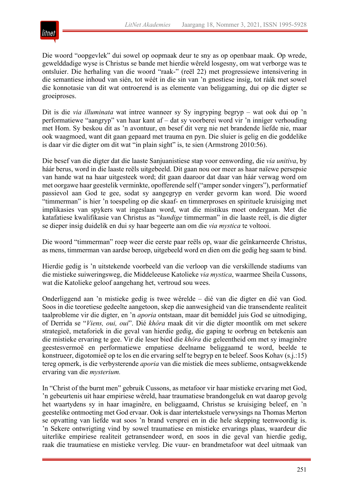

Die woord "oopgevlek" dui sowel op oopmaak deur te sny as op openbaar maak. Op wrede, gewelddadige wyse is Christus se bande met hierdie wêreld losgesny, om wat verborge was te ontsluier. Die herhaling van die woord "raak-" (reël 22) met progressiewe intensivering in die semantiese inhoud van sién, tot wéét in die sin van 'n gnostiese insig, tot ráák met sowel die konnotasie van dit wat ontroerend is as elemente van beliggaming, dui op die digter se groeiproses.

Dit is die *via illuminata* wat intree wanneer sy Sy ingryping begryp – wat ook dui op 'n performatiewe "aangryp" van haar kant af – dat sy voorberei word vir 'n inniger verhouding met Hom. Sy beskou dit as 'n avontuur, en besef dit verg nie net brandende liefde nie, maar ook waagmoed, want dit gaan gepaard met trauma en pyn. Die sluier is gelig en die goddelike is daar vir die digter om dit wat "in plain sight" is, te sien (Armstrong 2010:56).

Die besef van die digter dat die laaste Sanjuanistiese stap voor eenwording, die *via unitiva*, by háár berus, word in die laaste reëls uitgebeeld. Dit gaan nou oor meer as haar naïewe persepsie van hande wat na haar uitgesteek word; dit gaan daaroor dat daar van háár verwag word om met oorgawe haar geestelik verminkte, opofferende self ("amper sonder vingers"), performatief passievol aan God te gee, sodat sy aangegryp en verder gevorm kan word. Die woord "timmerman" is hier 'n toespeling op die skaaf- en timmerproses en spirituele kruisiging met implikasies van spykers wat ingeslaan word, wat die mistikus moet ondergaan. Met die katafatiese kwalifikasie van Christus as "*kundige* timmerman" in die laaste reël, is die digter se dieper insig duidelik en dui sy haar begeerte aan om die *via mystica* te voltooi.

Die woord "timmerman" roep weer die eerste paar reëls op, waar die geïnkarneerde Christus, as mens, timmerman van aardse beroep, uitgebeeld word en dien om die gedig heg saam te bind.

Hierdie gedig is 'n uitstekende voorbeeld van die verloop van die verskillende stadiums van die mistieke suiweringsweg, die Middeleeuse Katolieke *via mystica*, waarmee Sheila Cussons, wat die Katolieke geloof aangehang het, vertroud sou wees.

Onderliggend aan 'n mistieke gedig is twee wêrelde – dié van die digter en dié van God. Soos in die teoretiese gedeelte aangetoon, skep die aanwesigheid van die transendente realiteit taalprobleme vir die digter, en 'n *aporia* ontstaan, maar dit bemiddel juis God se uitnodiging, of Derrida se "*Viens, oui, oui*". Dié *khôra* maak dit vir die digter moontlik om met sekere strategieë, metaforiek in die geval van hierdie gedig, die gaping te oorbrug en betekenis aan die mistieke ervaring te gee. Vir die leser bied die *khôra* die geleentheid om met sy imaginêre geestesvermoë en performatiewe empatiese deelname beliggaamd te word, beelde te konstrueer, digotomieë op te los en die ervaring self te begryp en te beleef. Soos Kohav (s.j.:15) tereg opmerk, is die verbysterende *aporia* van die mistiek die mees sublieme, ontsagwekkende ervaring van die *mysterium.*

In "Christ of the burnt men" gebruik Cussons, as metafoor vir haar mistieke ervaring met God, 'n gebeurtenis uit haar empiriese wêreld, haar traumatiese brandongeluk en wat daarop gevolg het waartydens sy in haar imaginêre, en beliggaamd, Christus se kruisiging beleef, en 'n geestelike ontmoeting met God ervaar. Ook is daar intertekstuele verwysings na Thomas Merton se opvatting van liefde wat soos 'n brand versprei en in die hele skepping teenwoordig is. 'n Sekere ontwrigting vind by sowel traumatiese en mistieke ervarings plaas, waardeur die uiterlike empiriese realiteit getransendeer word, en soos in die geval van hierdie gedig, raak die traumatiese en mistieke vervleg. Die vuur- en brandmetafoor wat deel uitmaak van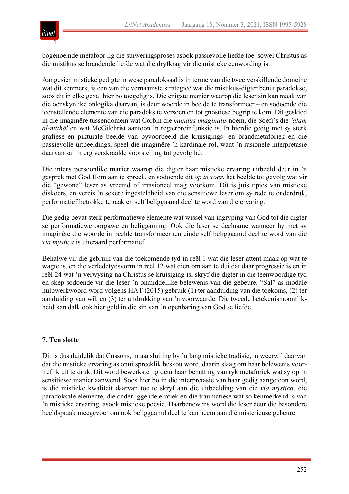

bogenoemde metafoor lig die suiweringsproses asook passievolle liefde toe, sowel Christus as die mistikus se brandende liefde wat die dryfkrag vir die mistieke eenwording is.

Aangesien mistieke gedigte in wese paradoksaal is in terme van die twee verskillende domeine wat dit kenmerk, is een van die vernaamste strategieë wat die mistikus-digter benut paradokse, soos dit in elke geval hier bo toegelig is. Die enigste manier waarop die leser sin kan maak van die oënskynlike onlogika daarvan, is deur woorde in beelde te transformeer – en sodoende die teenstellende elemente van die paradoks te versoen en tot gnostiese begrip te kom. Dit geskied in die imaginêre tussendomein wat Corbin die *mundus imaginalis* noem, die Soefi's die *'alam al-mithāl* en wat McGilchrist aantoon 'n regterbreinfunksie is. In hierdie gedig met sy sterk grafiese en pikturale beelde van byvoorbeeld die kruisigings- en brandmetaforiek en die passievolle uitbeeldings, speel die imaginêre 'n kardinale rol, want 'n rasionele interpretasie daarvan sal 'n erg verskraalde voorstelling tot gevolg hê.

Die intens persoonlike manier waarop die digter haar mistieke ervaring uitbeeld deur in 'n gesprek met God Hom aan te spreek, en sodoende dit *op te voer*, het beelde tot gevolg wat vir die "gewone" leser as vreemd of irrasioneel mag voorkom. Dit is juis tipies van mistieke diskoers, en vereis 'n sekere ingesteldheid van die sensitiewe leser om sy rede te onderdruk, performatief betrokke te raak en self beliggaamd deel te word van die ervaring.

Die gedig bevat sterk performatiewe elemente wat wissel van ingryping van God tot die digter se performatiewe oorgawe en beliggaming. Ook die leser se deelname wanneer hy met sy imaginêre die woorde in beelde transformeer ten einde self beliggaamd deel te word van die *via mystica* is uiteraard performatief.

Behalwe vir die gebruik van die toekomende tyd in reël 1 wat die leser attent maak op wat te wagte is, en die verledetydsvorm in reël 12 wat dien om aan te dui dat daar progressie is en in reël 24 wat 'n verwysing na Christus se kruisiging is, skryf die digter in die teenwoordige tyd en skep sodoende vir die leser 'n onmiddellike belewenis van die gebeure. "Sal" as modale hulpwerkwoord word volgens HAT (2015) gebruik (1) ter aanduiding van die toekoms, (2) ter aanduiding van wil, en (3) ter uitdrukking van 'n voorwaarde. Die tweede betekenismoontlikheid kan dalk ook hier geld in die sin van 'n openbaring van God se liefde.

## **7. Ten slotte**

Dit is dus duidelik dat Cussons, in aansluiting by 'n lang mistieke tradisie, in weerwil daarvan dat die mistieke ervaring as onuitspreeklik beskou word, daarin slaag om haar belewenis voortreflik uit te druk. Dit word bewerkstellig deur haar benutting van ryk metaforiek wat sy op 'n sensitiewe manier aanwend. Soos hier bo in die interpretasie van haar gedig aangetoon word, is die mistieke kwaliteit daarvan toe te skryf aan die uitbeelding van die *via mystica*, die paradoksale elemente, die onderliggende erotiek en die traumatiese wat so kenmerkend is van 'n mistieke ervaring, asook mistieke poësie. Daarbenewens word die leser deur die besondere beeldspraak meegevoer om ook beliggaamd deel te kan neem aan dié misterieuse gebeure.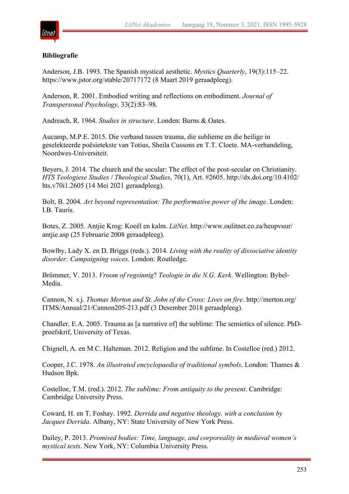

#### **Bibliografie**

Anderson, J.B. 1993. The Spanish mystical aesthetic. *Mystics Quarterly*, 19(3):115–22. https://www.jstor.org/stable/20717172 (8 Maart 2019 geraadpleeg).

Anderson, R. 2001. Embodied writing and reflections on embodiment. *Journal of Transpersonal Psychology,* 33(2):83–98.

Andreach, R. 1964. *Studies in structure*. Londen: Burns & Oates.

Aucamp, M.P.E. 2015. Die verband tussen trauma, die sublieme en die heilige in geselekteerde poësietekste van Totius, Sheila Cussons en T.T. Cloete. MA-verhandeling, Noordwes-Universiteit.

Beyers, J. 2014. The church and the secular: The effect of the post-secular on Christianity. *HTS Teologiese Studies / Theological Studies*, 70(1), Art. #2605. http://dx.doi.org/10.4102/ hts.v70i1.2605 (14 Mei 2021 geraadpleeg).

Bolt, B. 2004. *Art beyond representation: The performative power of the image*. Londen: I.B. Tauris.

Botes, Z. 2005. Antjie Krog: Koeël en kalm. *LitNet*. http://www.oulitnet.co.za/heupvuur/ antjie.asp (25 Februarie 2008 geraadpleeg).

Bowlby, Lady X. en D. Briggs (reds.). 2014. *Living with the reality of dissociative identity disorder: Campaigning voices*. London: Routledge.

Brümmer, V. 2013. *Vroom of regsinnig*? *Teologie in die N.G. Kerk*. Wellington: Bybel-Media.

Cannon, N. s.j. *Thomas Merton and St. John of the Cross: Lives on fire*. http://merton.org/ ITMS/Annual/21/Cannon205-213.pdf (3 Desember 2018 geraadpleeg).

Chandler, E.A. 2005. Trauma as [a narrative of] the sublime: The semiotics of silence. PhDproefskrif, University of Texas.

Chignell, A. en M.C. Halteman. 2012. Religion and the sublime. In Costelloe (red.) 2012.

Cooper, J.C. 1978. *An illustrated encyclopaedia of traditional symbols*. London: Thames & Hudson Bpk.

Costelloe, T.M. (red.). 2012. *The sublime: From antiquity to the present*. Cambridge: Cambridge University Press.

Coward, H. en T. Foshay. 1992. *Derrida and negative theology, with a conclusion by Jacques Derrida*. Albany, NY: State University of New York Press.

Dailey, P. 2013. *Promised bodies: Time, language, and corporeality in medieval women's mystical texts*. New York, NY: Columbia University Press.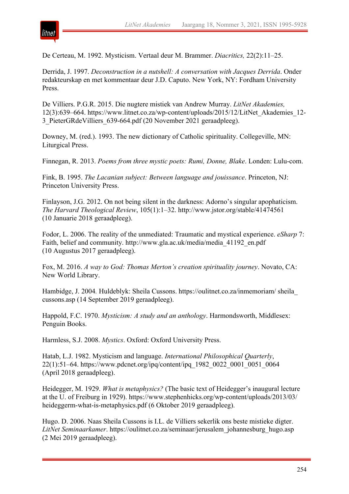

De Certeau, M. 1992. Mysticism. Vertaal deur M. Brammer. *Diacritics,* 22(2):11–25.

Derrida, J. 1997. *Deconstruction in a nutshell: A conversation with Jacques Derrida*. Onder redakteurskap en met kommentaar deur J.D. Caputo. New York, NY: Fordham University Press.

De Villiers. P.G.R. 2015. Die nugtere mistiek van Andrew Murray. *LitNet Akademies,* 12(3):639–664. https://www.litnet.co.za/wp-content/uploads/2015/12/LitNet\_Akademies\_12- 3\_PieterGRdeVilliers\_639-664.pdf (20 November 2021 geraadpleeg).

Downey, M. (red.). 1993. The new dictionary of Catholic spirituality. Collegeville, MN: Liturgical Press.

Finnegan, R. 2013. *Poems from three mystic poets: Rumi, Donne, Blake*. Londen: Lulu-com.

Fink, B. 1995. *The Lacanian subject: Between language and jouissance*. Princeton, NJ: Princeton University Press.

Finlayson, J.G. 2012. On not being silent in the darkness: Adorno's singular apophaticism. *The Harvard Theological Review*, 105(1):1–32. http://www.jstor.org/stable/41474561 (10 Januarie 2018 geraadpleeg).

Fodor, L. 2006. The reality of the unmediated: Traumatic and mystical experience. *eSharp* 7: Faith, belief and community. http://www.gla.ac.uk/media/media\_41192\_en.pdf (10 Augustus 2017 geraadpleeg).

Fox, M. 2016. *A way to God: Thomas Merton's creation spirituality journey*. Novato, CA: New World Library.

Hambidge, J. 2004*.* Huldeblyk: Sheila Cussons. https://oulitnet.co.za/inmemoriam/ sheila\_ cussons.asp (14 September 2019 geraadpleeg).

Happold, F.C. 1970. *Mysticism: A study and an anthology*. Harmondsworth, Middlesex: Penguin Books.

Harmless, S.J. 2008. *Mystics*. Oxford: Oxford University Press.

Hatab, L.J. 1982. Mysticism and language. *International Philosophical Quarterly*, 22(1):51–64. https://www.pdcnet.org/ipq/content/ipq\_1982\_0022\_0001\_0051\_0064 (April 2018 geraadpleeg).

Heidegger, M. 1929. *What is metaphysics?* (The basic text of Heidegger's inaugural lecture at the U. of Freiburg in 1929). https://www.stephenhicks.org/wp-content/uploads/2013/03/ heideggerm-what-is-metaphysics.pdf (6 Oktober 2019 geraadpleeg).

Hugo. D. 2006. Naas Sheila Cussons is I.L. de Villiers sekerlik ons beste mistieke digter. *LitNet Seminaarkamer.* https://oulitnet.co.za/seminaar/jerusalem\_johannesburg\_hugo.asp (2 Mei 2019 geraadpleeg).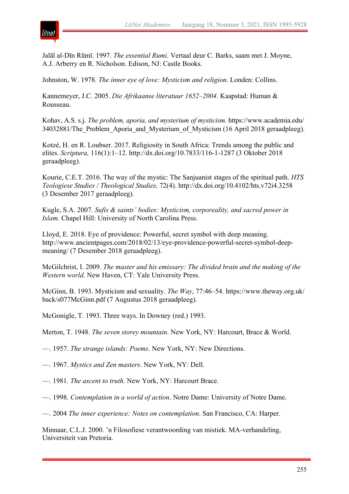

Jalāl al-Dīn Rūmī. 1997. *The essential Rumi*. Vertaal deur C. Barks, saam met J. Moyne, A.J. Arberry en R. Nicholson. Edison, NJ: Castle Books.

Johnston, W. 1978*. The inner eye of love: Mysticism and religion*. Londen: Collins.

Kannemeyer, J.C. 2005. *Die Afrikaanse literatuur 1652–2004.* Kaapstad: Human & Rousseau.

Kohav, A.S. s.j. *The problem, aporia, and mysterium of mysticism.* https://www.academia.edu/ 34032881/The Problem Aporia and Mysterium of Mysticism (16 April 2018 geraadpleeg).

Kotzé, H. en R. Loubser. 2017. Religiosity in South Africa: Trends among the public and elites. *Scriptura,* 116(1):1–12. http://dx.doi.org/10.7833/116-1-1287 (3 Oktober 2018 geraadpleeg).

Kourie, C.E.T. 2016. The way of the mystic: The Sanjuanist stages of the spiritual path. *HTS Teologiese Studies / Theological Studies,* 72(4). http://dx.doi.org/10.4102/hts.v72i4.3258 (3 Desember 2017 geraadpleeg).

Kugle, S.A. 2007. *Sufis & saints' bodies: Mysticism, corporeality, and sacred power in Islam.* Chapel Hill: University of North Carolina Press.

Lloyd, E. 2018. Eye of providence: Powerful, secret symbol with deep meaning. http://www.ancientpages.com/2018/02/13/eye-providence-powerful-secret-symbol-deepmeaning/ (7 Desember 2018 geraadpleeg).

McGilchrist, I. 2009. *The master and his emissary: The divided brain and the making of the Western world*. New Haven, CT: Yale University Press.

McGinn, B. 1993. Mysticism and sexuality. *The Way*, 77:46–54. https://www.theway.org.uk/ back/s077McGinn.pdf (7 Augustus 2018 geraadpleeg).

McGonigle, T. 1993. Three ways. In Downey (red.) 1993.

Merton, T. 1948. *The seven storey mountain*. New York, NY: Harcourt, Brace & World.

—. 1957. *The strange islands: Poems*. New York, NY: New Directions.

—. 1967. *Mystics and Zen masters*. New York, NY: Dell.

—. 1981. *The ascent to truth*. New York, NY: Harcourt Brace.

—. 1998. *Contemplation in a world of action*. Notre Dame: University of Notre Dame.

—. 2004 *The inner experience: Notes on contemplation*. San Francisco, CA: Harper.

Minnaar, C.L.J. 2000. 'n Filosofiese verantwoording van mistiek. MA-verhandeling, Universiteit van Pretoria.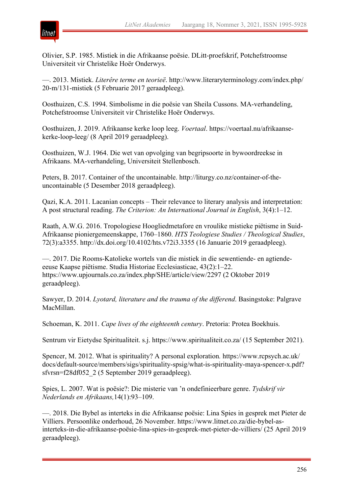

Olivier, S.P. 1985. Mistiek in die Afrikaanse poësie. DLitt-proefskrif, Potchefstroomse Universiteit vir Christelike Hoër Onderwys.

—. 2013. Mistiek. *Literêre terme en teorieë*. http://www.literaryterminology.com/index.php/ 20-m/131-mistiek (5 Februarie 2017 geraadpleeg).

Oosthuizen, C.S. 1994. Simbolisme in die poësie van Sheila Cussons. MA-verhandeling, Potchefstroomse Universiteit vir Christelike Hoër Onderwys.

Oosthuizen, J. 2019. Afrikaanse kerke loop leeg. *Voertaal*. https://voertaal.nu/afrikaansekerke-loop-leeg/ (8 April 2019 geraadpleeg).

Oosthuizen, W.J. 1964. Die wet van opvolging van begripsoorte in bywoordreekse in Afrikaans. MA-verhandeling, Universiteit Stellenbosch.

Peters, B. 2017. Container of the uncontainable. http://liturgy.co.nz/container-of-theuncontainable (5 Desember 2018 geraadpleeg).

Qazi, K.A. 2011. Lacanian concepts – Their relevance to literary analysis and interpretation: A post structural reading. *The Criterion: An International Journal in English*, 3(4):1–12.

Raath, A.W.G. 2016. Tropologiese Hoogliedmetafore en vroulike mistieke piëtisme in Suid-Afrikaanse pioniergemeenskappe, 1760–1860. *HTS Teologiese Studies / Theological Studies*, 72(3):a3355. http://dx.doi.org/10.4102/hts.v72i3.3355 (16 Januarie 2019 geraadpleeg).

—. 2017. Die Rooms-Katolieke wortels van die mistiek in die sewentiende- en agtiendeeeuse Kaapse piëtisme. Studia Historiae Ecclesiasticae, 43(2):1–22. https://www.upjournals.co.za/index.php/SHE/article/view/2297 (2 Oktober 2019 geraadpleeg).

Sawyer, D. 2014. *Lyotard, literature and the trauma of the differend*. Basingstoke: Palgrave MacMillan.

Schoeman, K. 2011. *Cape lives of the eighteenth century*. Pretoria: Protea Boekhuis.

Sentrum vir Eietydse Spiritualiteit. s.j. https://www.spiritualiteit.co.za/ (15 September 2021).

Spencer, M. 2012. What is spirituality? A personal exploration*.* https://www.rcpsych.ac.uk/ docs/default-source/members/sigs/spirituality-spsig/what-is-spirituality-maya-spencer-x.pdf? sfvrsn=f28df052\_2 (5 September 2019 geraadpleeg).

Spies, L. 2007. Wat is poësie?: Die misterie van 'n ondefinieerbare genre. *Tydskrif vir Nederlands en Afrikaans,*14(1):93–109.

—. 2018. Die Bybel as interteks in die Afrikaanse poësie: Lina Spies in gesprek met Pieter de Villiers. Persoonlike onderhoud, 26 November. https://www.litnet.co.za/die-bybel-asinterteks-in-die-afrikaanse-poësie-lina-spies-in-gesprek-met-pieter-de-villiers/ (25 April 2019 geraadpleeg).